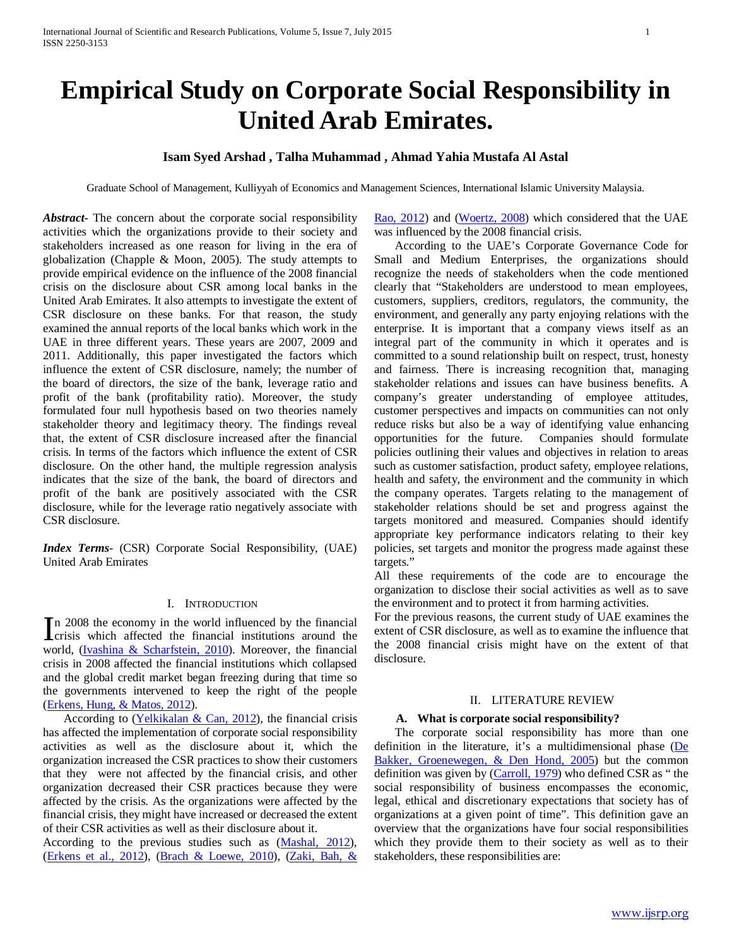# **Empirical Study on Corporate Social Responsibility in United Arab Emirates.**

# **Isam Syed Arshad , Talha Muhammad , Ahmad Yahia Mustafa Al Astal**

Graduate School of Management, Kulliyyah of Economics and Management Sciences, International Islamic University Malaysia.

*Abstract***-** The concern about the corporate social responsibility activities which the organizations provide to their society and stakeholders increased as one reason for living in the era of globalization (Chapple & Moon, 2005). The study attempts to provide empirical evidence on the influence of the 2008 financial crisis on the disclosure about CSR among local banks in the United Arab Emirates. It also attempts to investigate the extent of CSR disclosure on these banks. For that reason, the study examined the annual reports of the local banks which work in the UAE in three different years. These years are 2007, 2009 and 2011. Additionally, this paper investigated the factors which influence the extent of CSR disclosure, namely; the number of the board of directors, the size of the bank, leverage ratio and profit of the bank (profitability ratio). Moreover, the study formulated four null hypothesis based on two theories namely stakeholder theory and legitimacy theory. The findings reveal that, the extent of CSR disclosure increased after the financial crisis. In terms of the factors which influence the extent of CSR disclosure. On the other hand, the multiple regression analysis indicates that the size of the bank, the board of directors and profit of the bank are positively associated with the CSR disclosure, while for the leverage ratio negatively associate with CSR disclosure.

*Index Terms*- (CSR) Corporate Social Responsibility, (UAE) United Arab Emirates

# I. INTRODUCTION

n 2008 the economy in the world influenced by the financial In 2008 the economy in the world influenced by the financial crisis which affected the financial institutions around the  $\frac{1}{2}$  (but in  $\frac{1}{2}$  Schemetric 2010). Moreover, the financial world, (Ivashina & Scharfstein, 2010). Moreover, the financial crisis in 2008 affected the financial institutions which collapsed and the global credit market began freezing during that time so the governments intervened to keep the right of the people (Erkens, Hung, & Matos, 2012).

 According to (Yelkikalan & Can, 2012), the financial crisis has affected the implementation of corporate social responsibility activities as well as the disclosure about it, which the organization increased the CSR practices to show their customers that they were not affected by the financial crisis, and other organization decreased their CSR practices because they were affected by the crisis. As the organizations were affected by the financial crisis, they might have increased or decreased the extent of their CSR activities as well as their disclosure about it.

According to the previous studies such as (Mashal, 2012), (Erkens et al., 2012), (Brach & Loewe, 2010), (Zaki, Bah, & Rao, 2012) and (Woertz, 2008) which considered that the UAE was influenced by the 2008 financial crisis.

 According to the UAE's Corporate Governance Code for Small and Medium Enterprises, the organizations should recognize the needs of stakeholders when the code mentioned clearly that "Stakeholders are understood to mean employees, customers, suppliers, creditors, regulators, the community, the environment, and generally any party enjoying relations with the enterprise. It is important that a company views itself as an integral part of the community in which it operates and is committed to a sound relationship built on respect, trust, honesty and fairness. There is increasing recognition that, managing stakeholder relations and issues can have business benefits. A company's greater understanding of employee attitudes, customer perspectives and impacts on communities can not only reduce risks but also be a way of identifying value enhancing opportunities for the future. Companies should formulate policies outlining their values and objectives in relation to areas such as customer satisfaction, product safety, employee relations, health and safety, the environment and the community in which the company operates. Targets relating to the management of stakeholder relations should be set and progress against the targets monitored and measured. Companies should identify appropriate key performance indicators relating to their key policies, set targets and monitor the progress made against these targets."

All these requirements of the code are to encourage the organization to disclose their social activities as well as to save the environment and to protect it from harming activities.

For the previous reasons, the current study of UAE examines the extent of CSR disclosure, as well as to examine the influence that the 2008 financial crisis might have on the extent of that disclosure.

## II. LITERATURE REVIEW

### **A. What is corporate social responsibility?**

 The corporate social responsibility has more than one definition in the literature, it's a multidimensional phase (De Bakker, Groenewegen, & Den Hond, 2005) but the common definition was given by (Carroll, 1979) who defined CSR as " the social responsibility of business encompasses the economic, legal, ethical and discretionary expectations that society has of organizations at a given point of time". This definition gave an overview that the organizations have four social responsibilities which they provide them to their society as well as to their stakeholders, these responsibilities are: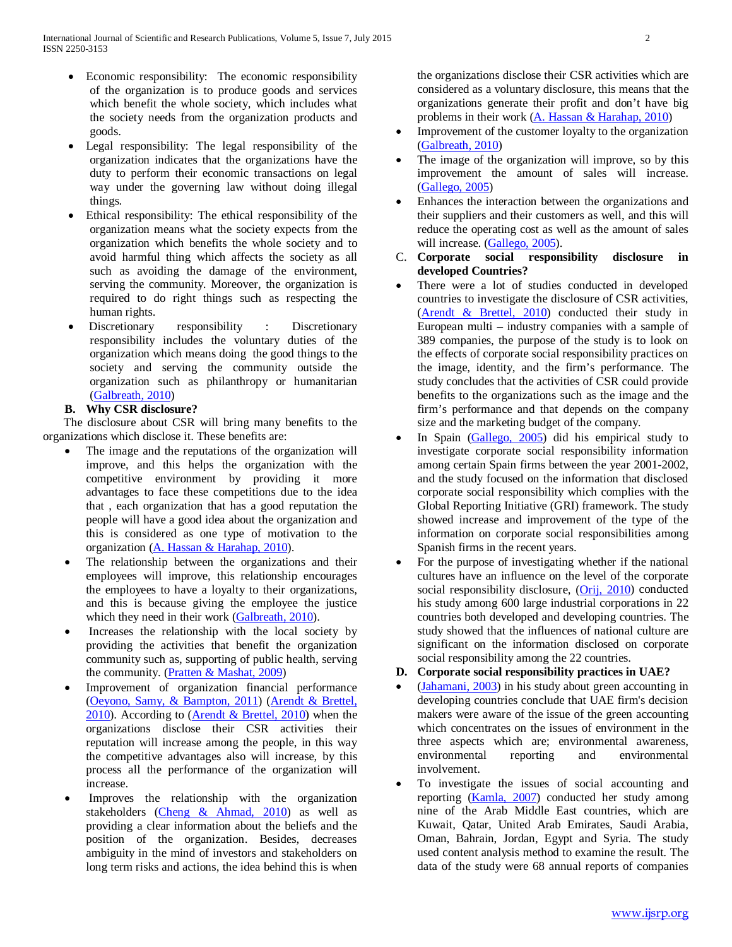- Economic responsibility: The economic responsibility of the organization is to produce goods and services which benefit the whole society, which includes what the society needs from the organization products and goods.
- Legal responsibility: The legal responsibility of the organization indicates that the organizations have the duty to perform their economic transactions on legal way under the governing law without doing illegal things.
- Ethical responsibility: The ethical responsibility of the organization means what the society expects from the organization which benefits the whole society and to avoid harmful thing which affects the society as all such as avoiding the damage of the environment, serving the community. Moreover, the organization is required to do right things such as respecting the human rights.
- Discretionary responsibility : Discretionary responsibility includes the voluntary duties of the organization which means doing the good things to the society and serving the community outside the organization such as philanthropy or humanitarian (Galbreath, 2010)

# **B. Why CSR disclosure?**

 The disclosure about CSR will bring many benefits to the organizations which disclose it. These benefits are:

- The image and the reputations of the organization will improve, and this helps the organization with the competitive environment by providing it more advantages to face these competitions due to the idea that , each organization that has a good reputation the people will have a good idea about the organization and this is considered as one type of motivation to the organization (A. Hassan & Harahap, 2010).
- The relationship between the organizations and their employees will improve, this relationship encourages the employees to have a loyalty to their organizations, and this is because giving the employee the justice which they need in their work (Galbreath, 2010).
- Increases the relationship with the local society by providing the activities that benefit the organization community such as, supporting of public health, serving the community. (Pratten & Mashat, 2009)
- Improvement of organization financial performance (Oeyono, Samy, & Bampton, 2011) (Arendt & Brettel,  $2010$ ). According to (**Arendt & Brettel**, 2010) when the organizations disclose their CSR activities their reputation will increase among the people, in this way the competitive advantages also will increase, by this process all the performance of the organization will increase.
- Improves the relationship with the organization stakeholders (Cheng & Ahmad, 2010) as well as providing a clear information about the beliefs and the position of the organization. Besides, decreases ambiguity in the mind of investors and stakeholders on long term risks and actions, the idea behind this is when

the organizations disclose their CSR activities which are considered as a voluntary disclosure, this means that the organizations generate their profit and don't have big problems in their work (A. Hassan & Harahap, 2010)

- Improvement of the customer loyalty to the organization (Galbreath, 2010)
- The image of the organization will improve, so by this improvement the amount of sales will increase. (Gallego, 2005)
- Enhances the interaction between the organizations and their suppliers and their customers as well, and this will reduce the operating cost as well as the amount of sales will increase. (Gallego, 2005).
- C. **Corporate social responsibility disclosure in developed Countries?**
- There were a lot of studies conducted in developed countries to investigate the disclosure of CSR activities, (Arendt & Brettel, 2010) conducted their study in European multi – industry companies with a sample of 389 companies, the purpose of the study is to look on the effects of corporate social responsibility practices on the image, identity, and the firm's performance. The study concludes that the activities of CSR could provide benefits to the organizations such as the image and the firm's performance and that depends on the company size and the marketing budget of the company.
- In Spain (Gallego, 2005) did his empirical study to investigate corporate social responsibility information among certain Spain firms between the year 2001-2002, and the study focused on the information that disclosed corporate social responsibility which complies with the Global Reporting Initiative (GRI) framework. The study showed increase and improvement of the type of the information on corporate social responsibilities among Spanish firms in the recent years.
- For the purpose of investigating whether if the national cultures have an influence on the level of the corporate social responsibility disclosure, (Orij, 2010) conducted his study among 600 large industrial corporations in 22 countries both developed and developing countries. The study showed that the influences of national culture are significant on the information disclosed on corporate social responsibility among the 22 countries.
- **D. Corporate social responsibility practices in UAE?**
- (Jahamani, 2003) in his study about green accounting in developing countries conclude that UAE firm's decision makers were aware of the issue of the green accounting which concentrates on the issues of environment in the three aspects which are; environmental awareness, environmental reporting and environmental involvement.
- To investigate the issues of social accounting and reporting (Kamla, 2007) conducted her study among nine of the Arab Middle East countries, which are Kuwait, Qatar, United Arab Emirates, Saudi Arabia, Oman, Bahrain, Jordan, Egypt and Syria. The study used content analysis method to examine the result. The data of the study were 68 annual reports of companies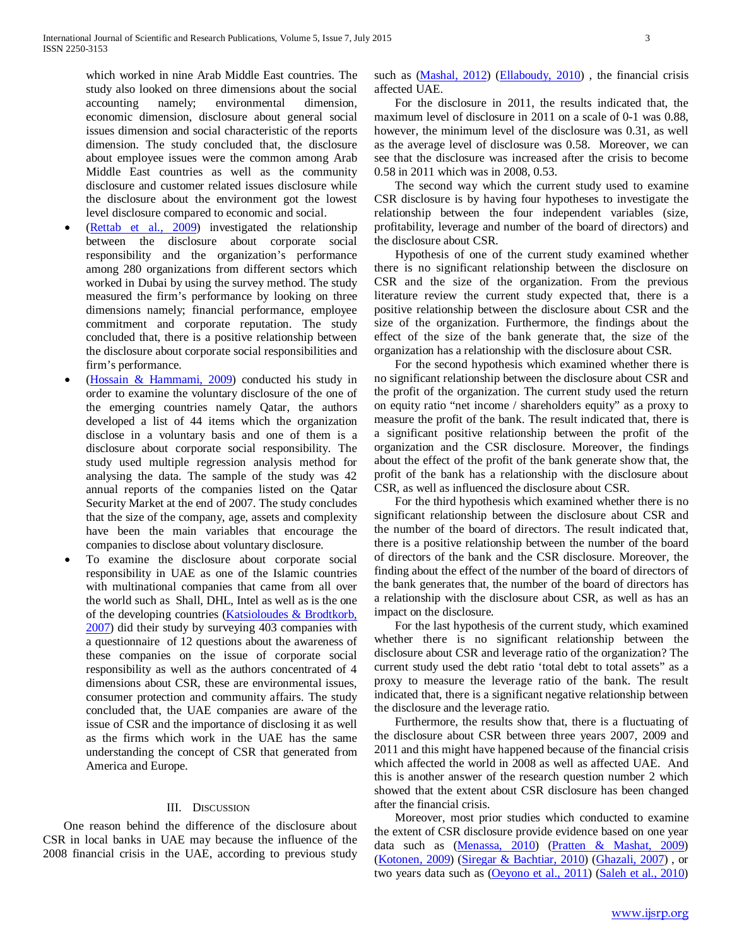which worked in nine Arab Middle East countries. The study also looked on three dimensions about the social accounting namely; environmental dimension, economic dimension, disclosure about general social issues dimension and social characteristic of the reports dimension. The study concluded that, the disclosure about employee issues were the common among Arab Middle East countries as well as the community disclosure and customer related issues disclosure while the disclosure about the environment got the lowest level disclosure compared to economic and social.

- (Rettab et al., 2009) investigated the relationship between the disclosure about corporate social responsibility and the organization's performance among 280 organizations from different sectors which worked in Dubai by using the survey method. The study measured the firm's performance by looking on three dimensions namely; financial performance, employee commitment and corporate reputation. The study concluded that, there is a positive relationship between the disclosure about corporate social responsibilities and firm's performance.
- (Hossain & Hammami, 2009) conducted his study in order to examine the voluntary disclosure of the one of the emerging countries namely Qatar, the authors developed a list of 44 items which the organization disclose in a voluntary basis and one of them is a disclosure about corporate social responsibility. The study used multiple regression analysis method for analysing the data. The sample of the study was 42 annual reports of the companies listed on the Qatar Security Market at the end of 2007. The study concludes that the size of the company, age, assets and complexity have been the main variables that encourage the companies to disclose about voluntary disclosure.
- To examine the disclosure about corporate social responsibility in UAE as one of the Islamic countries with multinational companies that came from all over the world such as Shall, DHL, Intel as well as is the one of the developing countries (Katsioloudes & Brodtkorb, 2007) did their study by surveying 403 companies with a questionnaire of 12 questions about the awareness of these companies on the issue of corporate social responsibility as well as the authors concentrated of 4 dimensions about CSR, these are environmental issues, consumer protection and community affairs. The study concluded that, the UAE companies are aware of the issue of CSR and the importance of disclosing it as well as the firms which work in the UAE has the same understanding the concept of CSR that generated from America and Europe.

# III. DISCUSSION

 One reason behind the difference of the disclosure about CSR in local banks in UAE may because the influence of the 2008 financial crisis in the UAE, according to previous study

such as (Mashal, 2012) (Ellaboudy, 2010) , the financial crisis affected UAE.

 For the disclosure in 2011, the results indicated that, the maximum level of disclosure in 2011 on a scale of 0-1 was 0.88, however, the minimum level of the disclosure was 0.31, as well as the average level of disclosure was 0.58. Moreover, we can see that the disclosure was increased after the crisis to become 0.58 in 2011 which was in 2008, 0.53.

 The second way which the current study used to examine CSR disclosure is by having four hypotheses to investigate the relationship between the four independent variables (size, profitability, leverage and number of the board of directors) and the disclosure about CSR.

 Hypothesis of one of the current study examined whether there is no significant relationship between the disclosure on CSR and the size of the organization. From the previous literature review the current study expected that, there is a positive relationship between the disclosure about CSR and the size of the organization. Furthermore, the findings about the effect of the size of the bank generate that, the size of the organization has a relationship with the disclosure about CSR.

 For the second hypothesis which examined whether there is no significant relationship between the disclosure about CSR and the profit of the organization. The current study used the return on equity ratio "net income / shareholders equity" as a proxy to measure the profit of the bank. The result indicated that, there is a significant positive relationship between the profit of the organization and the CSR disclosure. Moreover, the findings about the effect of the profit of the bank generate show that, the profit of the bank has a relationship with the disclosure about CSR, as well as influenced the disclosure about CSR.

 For the third hypothesis which examined whether there is no significant relationship between the disclosure about CSR and the number of the board of directors. The result indicated that, there is a positive relationship between the number of the board of directors of the bank and the CSR disclosure. Moreover, the finding about the effect of the number of the board of directors of the bank generates that, the number of the board of directors has a relationship with the disclosure about CSR, as well as has an impact on the disclosure.

 For the last hypothesis of the current study, which examined whether there is no significant relationship between the disclosure about CSR and leverage ratio of the organization? The current study used the debt ratio 'total debt to total assets" as a proxy to measure the leverage ratio of the bank. The result indicated that, there is a significant negative relationship between the disclosure and the leverage ratio.

 Furthermore, the results show that, there is a fluctuating of the disclosure about CSR between three years 2007, 2009 and 2011 and this might have happened because of the financial crisis which affected the world in 2008 as well as affected UAE. And this is another answer of the research question number 2 which showed that the extent about CSR disclosure has been changed after the financial crisis.

 Moreover, most prior studies which conducted to examine the extent of CSR disclosure provide evidence based on one year data such as (Menassa, 2010) (Pratten & Mashat, 2009) (Kotonen, 2009) (Siregar & Bachtiar, 2010) (Ghazali, 2007) , or two years data such as (Oeyono et al., 2011) (Saleh et al., 2010)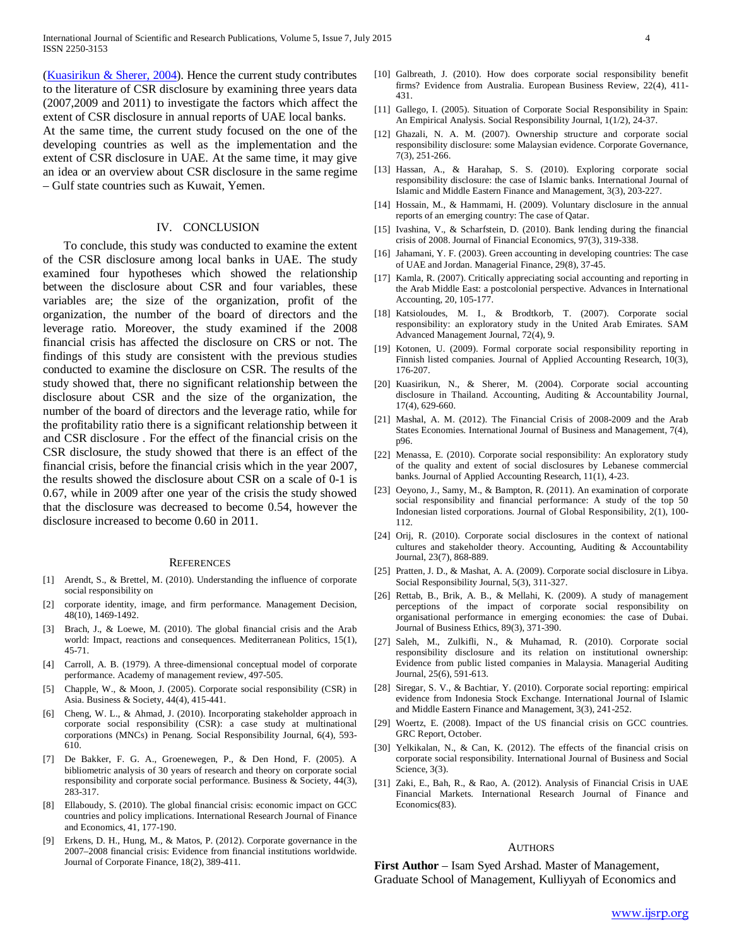International Journal of Scientific and Research Publications, Volume 5, Issue 7, July 2015 4 ISSN 2250-3153

(Kuasirikun & Sherer, 2004). Hence the current study contributes to the literature of CSR disclosure by examining three years data (2007,2009 and 2011) to investigate the factors which affect the extent of CSR disclosure in annual reports of UAE local banks. At the same time, the current study focused on the one of the developing countries as well as the implementation and the extent of CSR disclosure in UAE. At the same time, it may give an idea or an overview about CSR disclosure in the same regime – Gulf state countries such as Kuwait, Yemen.

## IV. CONCLUSION

 To conclude, this study was conducted to examine the extent of the CSR disclosure among local banks in UAE. The study examined four hypotheses which showed the relationship between the disclosure about CSR and four variables, these variables are; the size of the organization, profit of the organization, the number of the board of directors and the leverage ratio. Moreover, the study examined if the 2008 financial crisis has affected the disclosure on CRS or not. The findings of this study are consistent with the previous studies conducted to examine the disclosure on CSR. The results of the study showed that, there no significant relationship between the disclosure about CSR and the size of the organization, the number of the board of directors and the leverage ratio, while for the profitability ratio there is a significant relationship between it and CSR disclosure . For the effect of the financial crisis on the CSR disclosure, the study showed that there is an effect of the financial crisis, before the financial crisis which in the year 2007, the results showed the disclosure about CSR on a scale of 0-1 is 0.67, while in 2009 after one year of the crisis the study showed that the disclosure was decreased to become 0.54, however the disclosure increased to become 0.60 in 2011.

#### **REFERENCES**

- [1] Arendt, S., & Brettel, M. (2010). Understanding the influence of corporate social responsibility on
- [2] corporate identity, image, and firm performance. Management Decision, 48(10), 1469-1492.
- [3] Brach, J., & Loewe, M. (2010). The global financial crisis and the Arab world: Impact, reactions and consequences. Mediterranean Politics, 15(1), 45-71.
- [4] Carroll, A. B. (1979). A three-dimensional conceptual model of corporate performance. Academy of management review, 497-505.
- [5] Chapple, W., & Moon, J. (2005). Corporate social responsibility (CSR) in Asia. Business & Society, 44(4), 415-441.
- [6] Cheng, W. L., & Ahmad, J. (2010). Incorporating stakeholder approach in corporate social responsibility (CSR): a case study at multinational corporations (MNCs) in Penang. Social Responsibility Journal, 6(4), 593- 610.
- [7] De Bakker, F. G. A., Groenewegen, P., & Den Hond, F. (2005). A bibliometric analysis of 30 years of research and theory on corporate social responsibility and corporate social performance. Business & Society, 44(3), 283-317.
- [8] Ellaboudy, S. (2010). The global financial crisis: economic impact on GCC countries and policy implications. International Research Journal of Finance and Economics, 41, 177-190.
- [9] Erkens, D. H., Hung, M., & Matos, P. (2012). Corporate governance in the 2007–2008 financial crisis: Evidence from financial institutions worldwide. Journal of Corporate Finance, 18(2), 389-411.
- [10] Galbreath, J. (2010). How does corporate social responsibility benefit firms? Evidence from Australia. European Business Review, 22(4), 411- 431.
- [11] Gallego, I. (2005). Situation of Corporate Social Responsibility in Spain: An Empirical Analysis. Social Responsibility Journal, 1(1/2), 24-37.
- [12] Ghazali, N. A. M. (2007). Ownership structure and corporate social responsibility disclosure: some Malaysian evidence. Corporate Governance, 7(3), 251-266.
- [13] Hassan, A., & Harahap, S. S. (2010). Exploring corporate social responsibility disclosure: the case of Islamic banks. International Journal of Islamic and Middle Eastern Finance and Management, 3(3), 203-227.
- [14] Hossain, M., & Hammami, H. (2009). Voluntary disclosure in the annual reports of an emerging country: The case of Qatar.
- [15] Ivashina, V., & Scharfstein, D. (2010). Bank lending during the financial crisis of 2008. Journal of Financial Economics, 97(3), 319-338.
- [16] Jahamani, Y. F. (2003). Green accounting in developing countries: The case of UAE and Jordan. Managerial Finance, 29(8), 37-45.
- [17] Kamla, R. (2007). Critically appreciating social accounting and reporting in the Arab Middle East: a postcolonial perspective. Advances in International Accounting, 20, 105-177.
- [18] Katsioloudes, M. I., & Brodtkorb, T. (2007). Corporate social responsibility: an exploratory study in the United Arab Emirates. SAM Advanced Management Journal, 72(4), 9.
- [19] Kotonen, U. (2009). Formal corporate social responsibility reporting in Finnish listed companies. Journal of Applied Accounting Research, 10(3), 176-207.
- [20] Kuasirikun, N., & Sherer, M. (2004). Corporate social accounting disclosure in Thailand. Accounting, Auditing & Accountability Journal, 17(4), 629-660.
- [21] Mashal, A. M. (2012). The Financial Crisis of 2008-2009 and the Arab States Economies. International Journal of Business and Management, 7(4), p96.
- [22] Menassa, E. (2010). Corporate social responsibility: An exploratory study of the quality and extent of social disclosures by Lebanese commercial banks. Journal of Applied Accounting Research, 11(1), 4-23.
- [23] Oeyono, J., Samy, M., & Bampton, R. (2011). An examination of corporate social responsibility and financial performance: A study of the top 50 Indonesian listed corporations. Journal of Global Responsibility, 2(1), 100- 112.
- [24] Orij, R. (2010). Corporate social disclosures in the context of national cultures and stakeholder theory. Accounting, Auditing & Accountability Journal, 23(7), 868-889.
- [25] Pratten, J. D., & Mashat, A. A. (2009). Corporate social disclosure in Libya. Social Responsibility Journal, 5(3), 311-327.
- [26] Rettab, B., Brik, A. B., & Mellahi, K. (2009). A study of management perceptions of the impact of corporate social responsibility on organisational performance in emerging economies: the case of Dubai. Journal of Business Ethics, 89(3), 371-390.
- [27] Saleh, M., Zulkifli, N., & Muhamad, R. (2010). Corporate social responsibility disclosure and its relation on institutional ownership: Evidence from public listed companies in Malaysia. Managerial Auditing Journal, 25(6), 591-613.
- [28] Siregar, S. V., & Bachtiar, Y. (2010). Corporate social reporting: empirical evidence from Indonesia Stock Exchange. International Journal of Islamic and Middle Eastern Finance and Management, 3(3), 241-252.
- [29] Woertz, E. (2008). Impact of the US financial crisis on GCC countries. GRC Report, October.
- [30] Yelkikalan, N., & Can, K. (2012). The effects of the financial crisis on corporate social responsibility. International Journal of Business and Social Science, 3(3).
- [31] Zaki, E., Bah, R., & Rao, A. (2012). Analysis of Financial Crisis in UAE Financial Markets. International Research Journal of Finance and Economics(83).

#### **AUTHORS**

**First Author** – Isam Syed Arshad. Master of Management, Graduate School of Management, Kulliyyah of Economics and